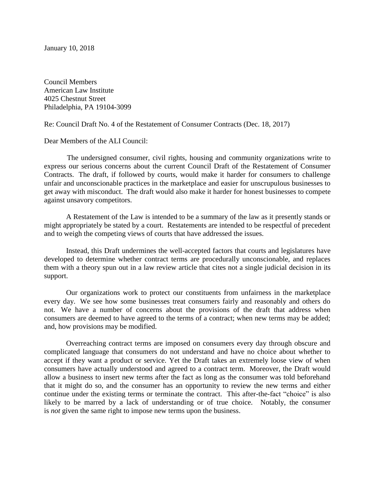January 10, 2018

Council Members American Law Institute 4025 Chestnut Street Philadelphia, PA 19104-3099

Re: Council Draft No. 4 of the Restatement of Consumer Contracts (Dec. 18, 2017)

Dear Members of the ALI Council:

 The undersigned consumer, civil rights, housing and community organizations write to express our serious concerns about the current Council Draft of the Restatement of Consumer Contracts. The draft, if followed by courts, would make it harder for consumers to challenge unfair and unconscionable practices in the marketplace and easier for unscrupulous businesses to get away with misconduct. The draft would also make it harder for honest businesses to compete against unsavory competitors.

A Restatement of the Law is intended to be a summary of the law as it presently stands or might appropriately be stated by a court. Restatements are intended to be respectful of precedent and to weigh the competing views of courts that have addressed the issues.

Instead, this Draft undermines the well-accepted factors that courts and legislatures have developed to determine whether contract terms are procedurally unconscionable, and replaces them with a theory spun out in a law review article that cites not a single judicial decision in its support.

Our organizations work to protect our constituents from unfairness in the marketplace every day. We see how some businesses treat consumers fairly and reasonably and others do not. We have a number of concerns about the provisions of the draft that address when consumers are deemed to have agreed to the terms of a contract; when new terms may be added; and, how provisions may be modified.

Overreaching contract terms are imposed on consumers every day through obscure and complicated language that consumers do not understand and have no choice about whether to accept if they want a product or service. Yet the Draft takes an extremely loose view of when consumers have actually understood and agreed to a contract term. Moreover, the Draft would allow a business to insert new terms after the fact as long as the consumer was told beforehand that it might do so, and the consumer has an opportunity to review the new terms and either continue under the existing terms or terminate the contract. This after-the-fact "choice" is also likely to be marred by a lack of understanding or of true choice. Notably, the consumer is *not* given the same right to impose new terms upon the business.